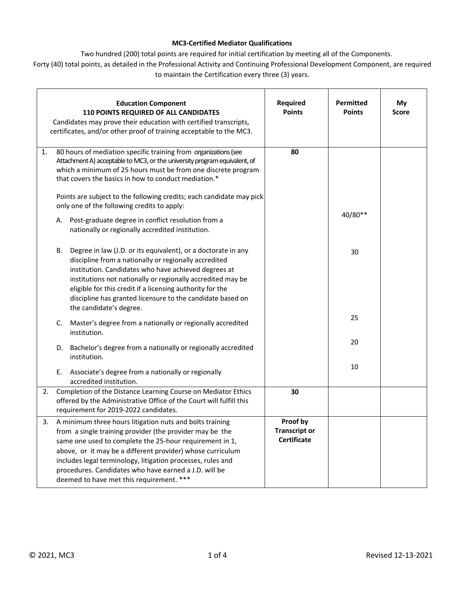## **MC3-Certified Mediator Qualifications**

Two hundred (200) total points are required for initial certification by meeting all of the Components.

Forty (40) total points, as detailed in the Professional Activity and Continuing Professional Development Component, are required to maintain the Certification every three (3) years.

|    | <b>Education Component</b><br>110 POINTS REQUIRED OF ALL CANDIDATES<br>Candidates may prove their education with certified transcripts,<br>certificates, and/or other proof of training acceptable to the MC3.                                                                                                                                                                                                                                                | Required<br><b>Points</b>                              | Permitted<br><b>Points</b> | My<br><b>Score</b> |
|----|---------------------------------------------------------------------------------------------------------------------------------------------------------------------------------------------------------------------------------------------------------------------------------------------------------------------------------------------------------------------------------------------------------------------------------------------------------------|--------------------------------------------------------|----------------------------|--------------------|
| 1. | 80 hours of mediation specific training from organizations (see<br>Attachment A) acceptable to MC3, or the university program equivalent, of<br>which a minimum of 25 hours must be from one discrete program<br>that covers the basics in how to conduct mediation.*<br>Points are subject to the following credits; each candidate may pick<br>only one of the following credits to apply:<br>Post-graduate degree in conflict resolution from a<br>А.      | 80                                                     | 40/80**                    |                    |
|    | nationally or regionally accredited institution.<br>Degree in law (J.D. or its equivalent), or a doctorate in any<br>В.<br>discipline from a nationally or regionally accredited<br>institution. Candidates who have achieved degrees at<br>institutions not nationally or regionally accredited may be<br>eligible for this credit if a licensing authority for the<br>discipline has granted licensure to the candidate based on<br>the candidate's degree. |                                                        | 30                         |                    |
|    | Master's degree from a nationally or regionally accredited<br>C.<br>institution.                                                                                                                                                                                                                                                                                                                                                                              |                                                        | 25<br>20                   |                    |
|    | Bachelor's degree from a nationally or regionally accredited<br>D.<br>institution.<br>Ε.<br>Associate's degree from a nationally or regionally<br>accredited institution.                                                                                                                                                                                                                                                                                     |                                                        | 10                         |                    |
| 2. | Completion of the Distance Learning Course on Mediator Ethics<br>offered by the Administrative Office of the Court will fulfill this<br>requirement for 2019-2022 candidates.                                                                                                                                                                                                                                                                                 | 30                                                     |                            |                    |
|    | 3. A minimum three hours litigation nuts and bolts training<br>from a single training provider (the provider may be the<br>same one used to complete the 25-hour requirement in 1,<br>above, or it may be a different provider) whose curriculum<br>includes legal terminology, litigation processes, rules and<br>procedures. Candidates who have earned a J.D. will be<br>deemed to have met this requirement. ***                                          | Proof by<br><b>Transcript or</b><br><b>Certificate</b> |                            |                    |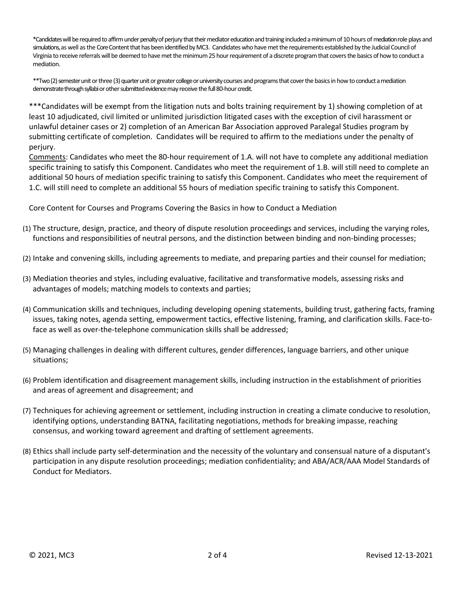\*Candidates will be required to affirm under penalty of perjury that their mediator education and training included a minimum of 10 hours of mediation role plays and simulations, as well as the Core Content that has been identified by MC3. Candidates who have met the requirements established by the Judicial Council of Virginia to receive referrals will be deemed to have met the minimum 25 hour requirement of a discrete program that covers the basics of how to conduct a mediation.

\*\*Two (2) semester unit or three (3) quarter unit or greater college or university courses and programs that cover the basics in how to conduct a mediation demonstrate through syllabi or other submitted evidence may receive the full 80-hour credit.

\*\*\*Candidates will be exempt from the litigation nuts and bolts training requirement by 1) showing completion of at least 10 adjudicated, civil limited or unlimited jurisdiction litigated cases with the exception of civil harassment or unlawful detainer cases or 2) completion of an American Bar Association approved Paralegal Studies program by submitting certificate of completion. Candidates will be required to affirm to the mediations under the penalty of perjury.

Comments: Candidates who meet the 80-hour requirement of 1.A. will not have to complete any additional mediation specific training to satisfy this Component. Candidates who meet the requirement of 1.B. will still need to complete an additional 50 hours of mediation specific training to satisfy this Component. Candidates who meet the requirement of 1.C. will still need to complete an additional 55 hours of mediation specific training to satisfy this Component.

Core Content for Courses and Programs Covering the Basics in how to Conduct a Mediation

- (1) The structure, design, practice, and theory of dispute resolution proceedings and services, including the varying roles, functions and responsibilities of neutral persons, and the distinction between binding and non-binding processes;
- (2) Intake and convening skills, including agreements to mediate, and preparing parties and their counsel for mediation;
- (3) Mediation theories and styles, including evaluative, facilitative and transformative models, assessing risks and advantages of models; matching models to contexts and parties;
- (4) Communication skills and techniques, including developing opening statements, building trust, gathering facts, framing issues, taking notes, agenda setting, empowerment tactics, effective listening, framing, and clarification skills. Face-toface as well as over-the-telephone communication skills shall be addressed;
- (5) Managing challenges in dealing with different cultures, gender differences, language barriers, and other unique situations;
- (6) Problem identification and disagreement management skills, including instruction in the establishment of priorities and areas of agreement and disagreement; and
- (7) Techniques for achieving agreement or settlement, including instruction in creating a climate conducive to resolution, identifying options, understanding BATNA, facilitating negotiations, methods for breaking impasse, reaching consensus, and working toward agreement and drafting of settlement agreements.
- (8) Ethics shall include party self-determination and the necessity of the voluntary and consensual nature of a disputant's participation in any dispute resolution proceedings; mediation confidentiality; and ABA/ACR/AAA Model Standards of Conduct for Mediators.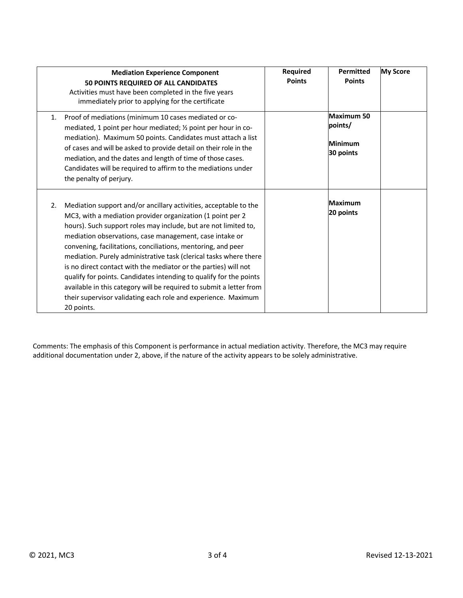|    | <b>Mediation Experience Component</b><br>50 POINTS REQUIRED OF ALL CANDIDATES<br>Activities must have been completed in the five years<br>immediately prior to applying for the certificate                                                                                                                                                                                                                                                                                                                                                                                                                                                                                                      | Required<br><b>Points</b> | <b>Permitted</b><br><b>Points</b>                    | <b>My Score</b> |
|----|--------------------------------------------------------------------------------------------------------------------------------------------------------------------------------------------------------------------------------------------------------------------------------------------------------------------------------------------------------------------------------------------------------------------------------------------------------------------------------------------------------------------------------------------------------------------------------------------------------------------------------------------------------------------------------------------------|---------------------------|------------------------------------------------------|-----------------|
| 1. | Proof of mediations (minimum 10 cases mediated or co-<br>mediated, 1 point per hour mediated; 1/2 point per hour in co-<br>mediation). Maximum 50 points. Candidates must attach a list<br>of cases and will be asked to provide detail on their role in the<br>mediation, and the dates and length of time of those cases.<br>Candidates will be required to affirm to the mediations under<br>the penalty of perjury.                                                                                                                                                                                                                                                                          |                           | Maximum 50<br>points/<br><b>Minimum</b><br>30 points |                 |
| 2. | Mediation support and/or ancillary activities, acceptable to the<br>MC3, with a mediation provider organization (1 point per 2<br>hours). Such support roles may include, but are not limited to,<br>mediation observations, case management, case intake or<br>convening, facilitations, conciliations, mentoring, and peer<br>mediation. Purely administrative task (clerical tasks where there<br>is no direct contact with the mediator or the parties) will not<br>qualify for points. Candidates intending to qualify for the points<br>available in this category will be required to submit a letter from<br>their supervisor validating each role and experience. Maximum<br>20 points. |                           | <b>Maximum</b><br>20 points                          |                 |

Comments: The emphasis of this Component is performance in actual mediation activity. Therefore, the MC3 may require additional documentation under 2, above, if the nature of the activity appears to be solely administrative.